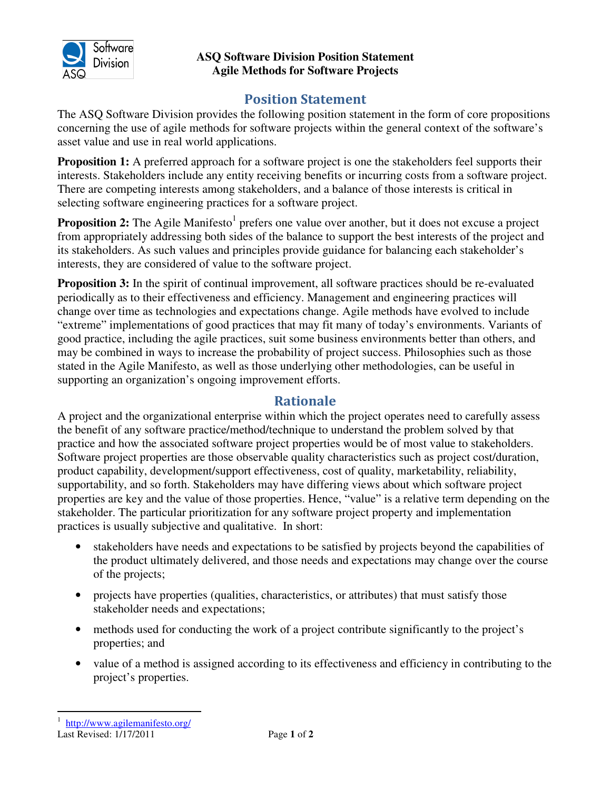

## **ASQ Software Division Position Statement Agile Methods for Software Projects**

## Position Statement

The ASQ Software Division provides the following position statement in the form of core propositions concerning the use of agile methods for software projects within the general context of the software's asset value and use in real world applications.

**Proposition 1:** A preferred approach for a software project is one the stakeholders feel supports their interests. Stakeholders include any entity receiving benefits or incurring costs from a software project. There are competing interests among stakeholders, and a balance of those interests is critical in selecting software engineering practices for a software project.

**Proposition 2:** The Agile Manifesto<sup>1</sup> prefers one value over another, but it does not excuse a project from appropriately addressing both sides of the balance to support the best interests of the project and its stakeholders. As such values and principles provide guidance for balancing each stakeholder's interests, they are considered of value to the software project.

**Proposition 3:** In the spirit of continual improvement, all software practices should be re-evaluated periodically as to their effectiveness and efficiency. Management and engineering practices will change over time as technologies and expectations change. Agile methods have evolved to include "extreme" implementations of good practices that may fit many of today's environments. Variants of good practice, including the agile practices, suit some business environments better than others, and may be combined in ways to increase the probability of project success. Philosophies such as those stated in the Agile Manifesto, as well as those underlying other methodologies, can be useful in supporting an organization's ongoing improvement efforts.

## Rationale

A project and the organizational enterprise within which the project operates need to carefully assess the benefit of any software practice/method/technique to understand the problem solved by that practice and how the associated software project properties would be of most value to stakeholders. Software project properties are those observable quality characteristics such as project cost/duration, product capability, development/support effectiveness, cost of quality, marketability, reliability, supportability, and so forth. Stakeholders may have differing views about which software project properties are key and the value of those properties. Hence, "value" is a relative term depending on the stakeholder. The particular prioritization for any software project property and implementation practices is usually subjective and qualitative. In short:

- stakeholders have needs and expectations to be satisfied by projects beyond the capabilities of the product ultimately delivered, and those needs and expectations may change over the course of the projects;
- projects have properties (qualities, characteristics, or attributes) that must satisfy those stakeholder needs and expectations;
- methods used for conducting the work of a project contribute significantly to the project's properties; and
- value of a method is assigned according to its effectiveness and efficiency in contributing to the project's properties.

Last Revised: 1/17/2011 Page **1** of **2**

 $\overline{a}$ 1 http://www.agilemanifesto.org/